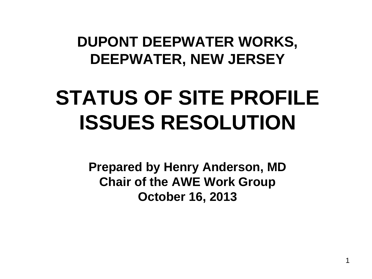### **DUPONT DEEPWATER WORKS, DEEPWATER, NEW JERSEY**

# **STATUS OF SITE PROFILE ISSUES RESOLUTION**

**Prepared by Henry Anderson, MD Chair of the AWE Work Group October 16, 2013**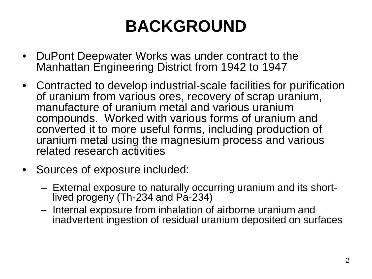## **BACKGROUND**

- DuPont Deepwater Works was under contract to the Manhattan Engineering District from 1942 to 1947
- Contracted to develop industrial-scale facilities for purification of uranium from various ores, recovery of scrap uranium, manufacture of uranium metal and various uranium compounds. Worked with various forms of uranium and converted it to more useful forms, including production of uranium metal using the magnesium process and various related research activities
- Sources of exposure included:
	- External exposure to naturally occurring uranium and its short- lived progeny (Th-234 and Pa-234)
	- Internal exposure from inhalation of airborne uranium and inadvertent ingestion of residual uranium deposited on surfaces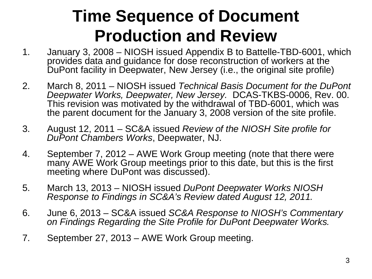### **Time Sequence of Document Production and Review**

- 1. January 3, 2008 NIOSH issued Appendix B to Battelle-TBD-6001, which provides data and guidance for dose reconstruction of workers at the DuPont facility in Deepwater, New Jersey (i.e., the original site profile)
- 2. March 8, 2011 NIOSH issued *Technical Basis Document for the DuPont Deepwater Works, Deepwater, New Jersey.* DCAS-TKBS-0006, Rev. 00. This revision was motivated by the withdrawal of TBD-6001, which was the parent document for the January 3, 2008 version of the site profile.
- 3. August 12, 2011 SC&A issued *Review of the NIOSH Site profile for DuPont Chambers Works*, Deepwater, NJ.
- 4. September 7, 2012 AWE Work Group meeting (note that there were many AWE Work Group meetings prior to this date, but this is the first meeting where DuPont was discussed).
- 5. March 13, 2013 NIOSH issued *DuPont Deepwater Works NIOSH Response to Findings in SC&A's Review dated August 12, 2011.*
- 6. June 6, 2013 SC&A issued *SC&A Response to NIOSH's Commentary on Findings Regarding the Site Profile for DuPont Deepwater Works.*
- 7. September 27, 2013 AWE Work Group meeting.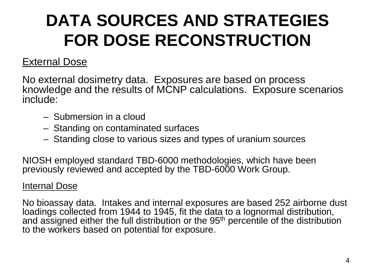## **DATA SOURCES AND STRATEGIES FOR DOSE RECONSTRUCTION**

### External Dose

No external dosimetry data. Exposures are based on process knowledge and the results of MCNP calculations. Exposure scenarios include:

- Submersion in a cloud
- Standing on contaminated surfaces
- Standing close to various sizes and types of uranium sources

NIOSH employed standard TBD-6000 methodologies, which have been previously reviewed and accepted by the TBD-6000 Work Group.

### Internal Dose

No bioassay data. Intakes and internal exposures are based 252 airborne dust loadings collected from 1944 to 1945, fit the data to a lognormal distribution, and assigned either the full distribution or the 95<sup>th</sup> percentile of the distribution to the workers based on potential for exposure.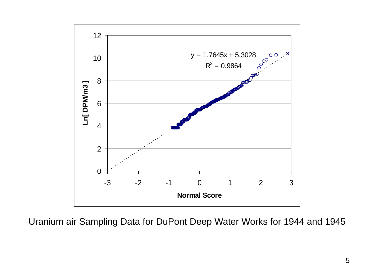

Uranium air Sampling Data for DuPont Deep Water Works for 1944 and 1945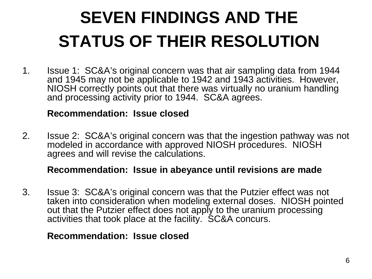## **SEVEN FINDINGS AND THE STATUS OF THEIR RESOLUTION**

1. Issue 1: SC&A's original concern was that air sampling data from 1944 and 1945 may not be applicable to 1942 and 1943 activities. However, NIOSH correctly points out that there was virtually no uranium handling and processing activity prior to 1944. SC&A agrees.

### **Recommendation: Issue closed**

2. Issue 2: SC&A's original concern was that the ingestion pathway was not modeled in accordance with approved NIOSH procedures. NIOSH agrees and will revise the calculations.

### **Recommendation: Issue in abeyance until revisions are made**

3. Issue 3: SC&A's original concern was that the Putzier effect was not taken into consideration when modeling external doses. NIOSH pointed out that the Putzier effect does not apply to the uranium processing activities that took place at the facility. SC&A concurs.

### **Recommendation: Issue closed**